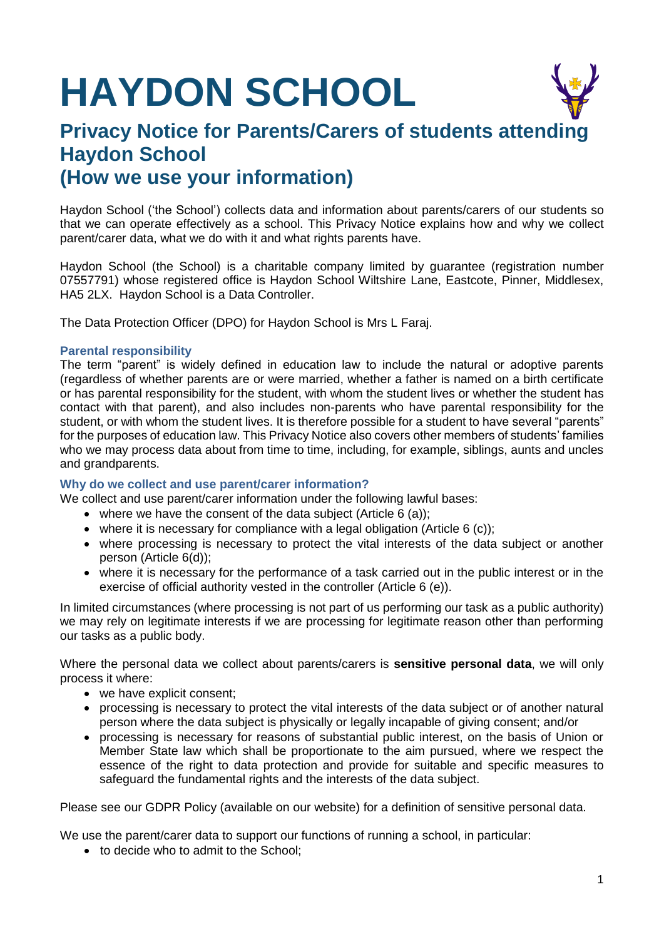# **HAYDON SCHOOL**

# **Privacy Notice for Parents/Carers of students attending Haydon School (How we use your information)**

Haydon School ('the School') collects data and information about parents/carers of our students so that we can operate effectively as a school. This Privacy Notice explains how and why we collect parent/carer data, what we do with it and what rights parents have.

Haydon School (the School) is a charitable company limited by guarantee (registration number 07557791) whose registered office is Haydon School Wiltshire Lane, Eastcote, Pinner, Middlesex, HA5 2LX. Haydon School is a Data Controller.

The Data Protection Officer (DPO) for Haydon School is Mrs L Faraj.

# **Parental responsibility**

The term "parent" is widely defined in education law to include the natural or adoptive parents (regardless of whether parents are or were married, whether a father is named on a birth certificate or has parental responsibility for the student, with whom the student lives or whether the student has contact with that parent), and also includes non-parents who have parental responsibility for the student, or with whom the student lives. It is therefore possible for a student to have several "parents" for the purposes of education law. This Privacy Notice also covers other members of students' families who we may process data about from time to time, including, for example, siblings, aunts and uncles and grandparents.

# **Why do we collect and use parent/carer information?**

We collect and use parent/carer information under the following lawful bases:

- where we have the consent of the data subject (Article  $6$  (a));
- $\bullet$  where it is necessary for compliance with a legal obligation (Article 6 (c));
- where processing is necessary to protect the vital interests of the data subject or another person (Article 6(d));
- where it is necessary for the performance of a task carried out in the public interest or in the exercise of official authority vested in the controller (Article 6 (e)).

In limited circumstances (where processing is not part of us performing our task as a public authority) we may rely on legitimate interests if we are processing for legitimate reason other than performing our tasks as a public body.

Where the personal data we collect about parents/carers is **sensitive personal data**, we will only process it where:

- we have explicit consent;
- processing is necessary to protect the vital interests of the data subject or of another natural person where the data subject is physically or legally incapable of giving consent; and/or
- processing is necessary for reasons of substantial public interest, on the basis of Union or Member State law which shall be proportionate to the aim pursued, where we respect the essence of the right to data protection and provide for suitable and specific measures to safeguard the fundamental rights and the interests of the data subject.

Please see our GDPR Policy (available on our website) for a definition of sensitive personal data.

We use the parent/carer data to support our functions of running a school, in particular:

• to decide who to admit to the School: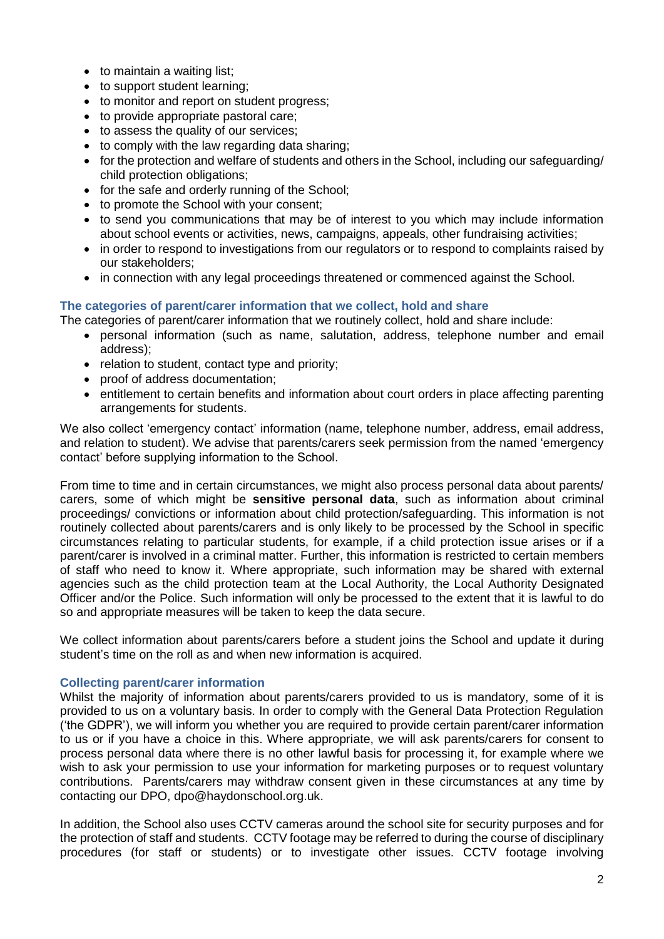- to maintain a waiting list:
- to support student learning;
- to monitor and report on student progress;
- to provide appropriate pastoral care;
- to assess the quality of our services:
- to comply with the law regarding data sharing;
- for the protection and welfare of students and others in the School, including our safeguarding/ child protection obligations;
- for the safe and orderly running of the School:
- to promote the School with your consent;
- to send you communications that may be of interest to you which may include information about school events or activities, news, campaigns, appeals, other fundraising activities;
- in order to respond to investigations from our regulators or to respond to complaints raised by our stakeholders;
- in connection with any legal proceedings threatened or commenced against the School.

#### **The categories of parent/carer information that we collect, hold and share**

The categories of parent/carer information that we routinely collect, hold and share include:

- personal information (such as name, salutation, address, telephone number and email address);
- relation to student, contact type and priority;
- proof of address documentation:
- entitlement to certain benefits and information about court orders in place affecting parenting arrangements for students.

We also collect 'emergency contact' information (name, telephone number, address, email address, and relation to student). We advise that parents/carers seek permission from the named 'emergency contact' before supplying information to the School.

From time to time and in certain circumstances, we might also process personal data about parents/ carers, some of which might be **sensitive personal data**, such as information about criminal proceedings/ convictions or information about child protection/safeguarding. This information is not routinely collected about parents/carers and is only likely to be processed by the School in specific circumstances relating to particular students, for example, if a child protection issue arises or if a parent/carer is involved in a criminal matter. Further, this information is restricted to certain members of staff who need to know it. Where appropriate, such information may be shared with external agencies such as the child protection team at the Local Authority, the Local Authority Designated Officer and/or the Police. Such information will only be processed to the extent that it is lawful to do so and appropriate measures will be taken to keep the data secure.

We collect information about parents/carers before a student joins the School and update it during student's time on the roll as and when new information is acquired.

#### **Collecting parent/carer information**

Whilst the majority of information about parents/carers provided to us is mandatory, some of it is provided to us on a voluntary basis. In order to comply with the General Data Protection Regulation ('the GDPR'), we will inform you whether you are required to provide certain parent/carer information to us or if you have a choice in this. Where appropriate, we will ask parents/carers for consent to process personal data where there is no other lawful basis for processing it, for example where we wish to ask your permission to use your information for marketing purposes or to request voluntary contributions. Parents/carers may withdraw consent given in these circumstances at any time by contacting our DPO, dpo@haydonschool.org.uk.

In addition, the School also uses CCTV cameras around the school site for security purposes and for the protection of staff and students. CCTV footage may be referred to during the course of disciplinary procedures (for staff or students) or to investigate other issues. CCTV footage involving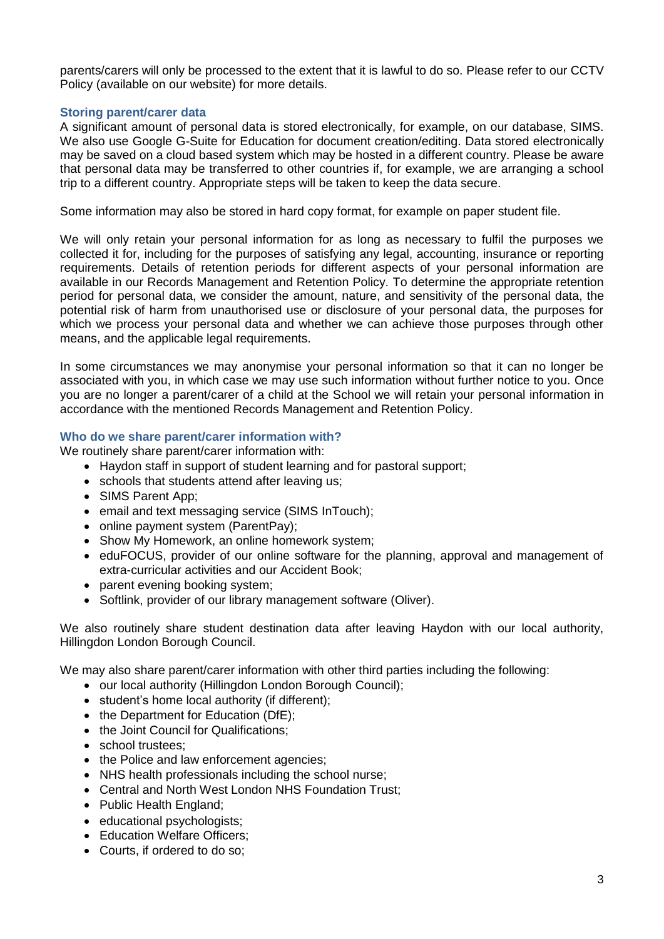parents/carers will only be processed to the extent that it is lawful to do so. Please refer to our CCTV Policy (available on our website) for more details.

#### **Storing parent/carer data**

A significant amount of personal data is stored electronically, for example, on our database, SIMS. We also use Google G-Suite for Education for document creation/editing. Data stored electronically may be saved on a cloud based system which may be hosted in a different country. Please be aware that personal data may be transferred to other countries if, for example, we are arranging a school trip to a different country. Appropriate steps will be taken to keep the data secure.

Some information may also be stored in hard copy format, for example on paper student file.

We will only retain your personal information for as long as necessary to fulfil the purposes we collected it for, including for the purposes of satisfying any legal, accounting, insurance or reporting requirements. Details of retention periods for different aspects of your personal information are available in our Records Management and Retention Policy. To determine the appropriate retention period for personal data, we consider the amount, nature, and sensitivity of the personal data, the potential risk of harm from unauthorised use or disclosure of your personal data, the purposes for which we process your personal data and whether we can achieve those purposes through other means, and the applicable legal requirements.

In some circumstances we may anonymise your personal information so that it can no longer be associated with you, in which case we may use such information without further notice to you. Once you are no longer a parent/carer of a child at the School we will retain your personal information in accordance with the mentioned Records Management and Retention Policy.

#### **Who do we share parent/carer information with?**

We routinely share parent/carer information with:

- Haydon staff in support of student learning and for pastoral support;
- schools that students attend after leaving us;
- SIMS Parent App;
- email and text messaging service (SIMS InTouch);
- online payment system (ParentPay);
- Show My Homework, an online homework system;
- eduFOCUS, provider of our online software for the planning, approval and management of extra-curricular activities and our Accident Book;
- parent evening booking system;
- Softlink, provider of our library management software (Oliver).

We also routinely share student destination data after leaving Haydon with our local authority, Hillingdon London Borough Council.

We may also share parent/carer information with other third parties including the following:

- our local authority (Hillingdon London Borough Council);
- student's home local authority (if different);
- the Department for Education (DfE):
- the Joint Council for Qualifications:
- school trustees:
- the Police and law enforcement agencies;
- NHS health professionals including the school nurse;
- Central and North West London NHS Foundation Trust;
- Public Health England;
- educational psychologists;
- Education Welfare Officers;
- Courts, if ordered to do so: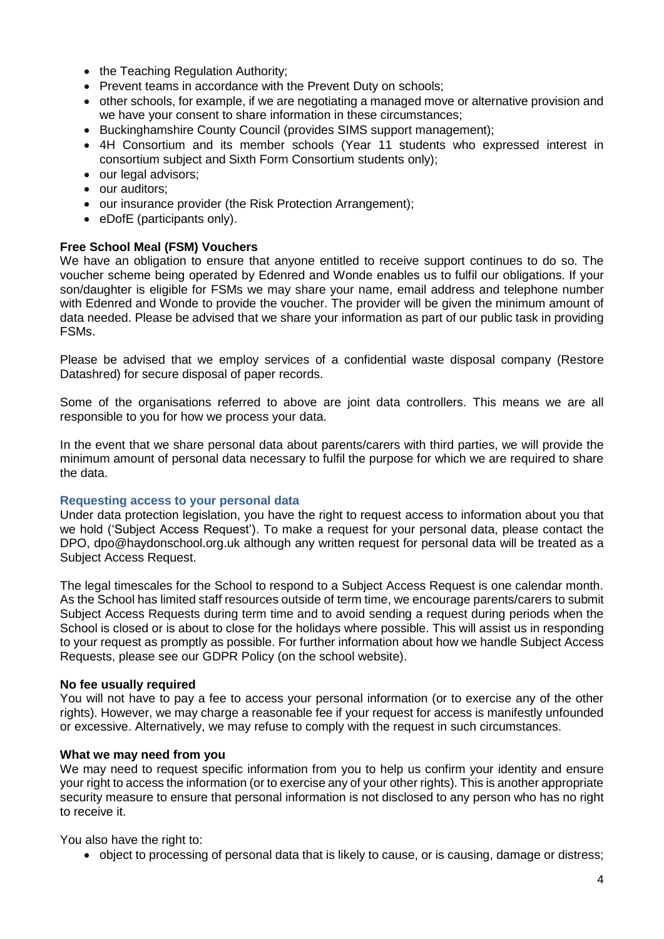- the Teaching Regulation Authority:
- Prevent teams in accordance with the Prevent Duty on schools;
- other schools, for example, if we are negotiating a managed move or alternative provision and we have your consent to share information in these circumstances;
- Buckinghamshire County Council (provides SIMS support management);
- 4H Consortium and its member schools (Year 11 students who expressed interest in consortium subject and Sixth Form Consortium students only);
- our legal advisors:
- our auditors:
- our insurance provider (the Risk Protection Arrangement);
- eDofE (participants only).

# **Free School Meal (FSM) Vouchers**

We have an obligation to ensure that anyone entitled to receive support continues to do so. The voucher scheme being operated by Edenred and Wonde enables us to fulfil our obligations. If your son/daughter is eligible for FSMs we may share your name, email address and telephone number with Edenred and Wonde to provide the voucher. The provider will be given the minimum amount of data needed. Please be advised that we share your information as part of our public task in providing FSMs.

Please be advised that we employ services of a confidential waste disposal company (Restore Datashred) for secure disposal of paper records.

Some of the organisations referred to above are joint data controllers. This means we are all responsible to you for how we process your data.

In the event that we share personal data about parents/carers with third parties, we will provide the minimum amount of personal data necessary to fulfil the purpose for which we are required to share the data.

### **Requesting access to your personal data**

Under data protection legislation, you have the right to request access to information about you that we hold ('Subject Access Request'). To make a request for your personal data, please contact the DPO, dpo@haydonschool.org.uk although any written request for personal data will be treated as a Subject Access Request.

The legal timescales for the School to respond to a Subject Access Request is one calendar month. As the School has limited staff resources outside of term time, we encourage parents/carers to submit Subject Access Requests during term time and to avoid sending a request during periods when the School is closed or is about to close for the holidays where possible. This will assist us in responding to your request as promptly as possible. For further information about how we handle Subject Access Requests, please see our GDPR Policy (on the school website).

### **No fee usually required**

You will not have to pay a fee to access your personal information (or to exercise any of the other rights). However, we may charge a reasonable fee if your request for access is manifestly unfounded or excessive. Alternatively, we may refuse to comply with the request in such circumstances.

### **What we may need from you**

We may need to request specific information from you to help us confirm your identity and ensure your right to access the information (or to exercise any of your other rights). This is another appropriate security measure to ensure that personal information is not disclosed to any person who has no right to receive it.

You also have the right to:

• object to processing of personal data that is likely to cause, or is causing, damage or distress;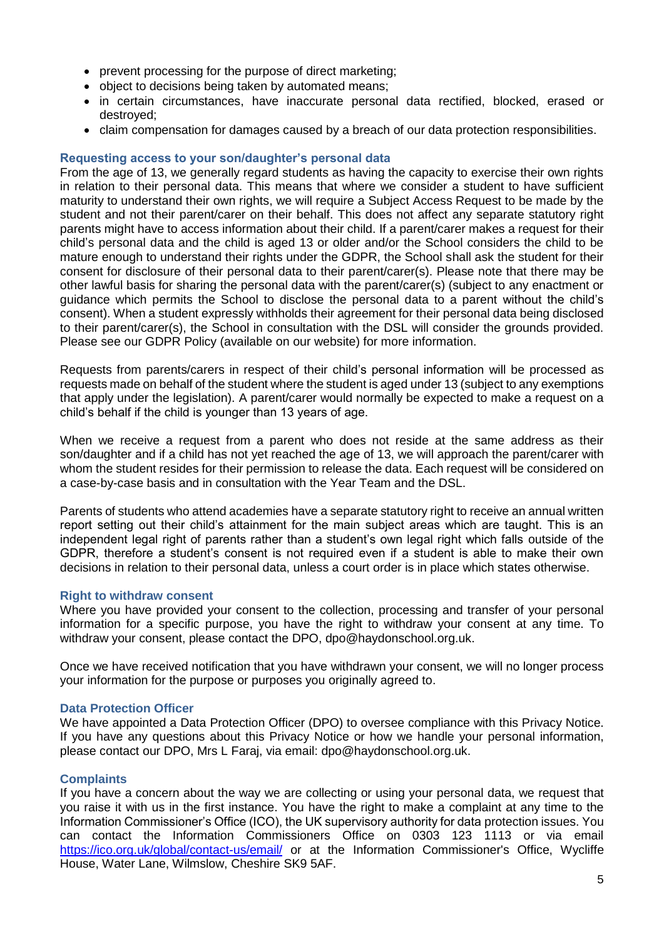- prevent processing for the purpose of direct marketing:
- object to decisions being taken by automated means;
- in certain circumstances, have inaccurate personal data rectified, blocked, erased or destroyed;
- claim compensation for damages caused by a breach of our data protection responsibilities.

## **Requesting access to your son/daughter's personal data**

From the age of 13, we generally regard students as having the capacity to exercise their own rights in relation to their personal data. This means that where we consider a student to have sufficient maturity to understand their own rights, we will require a Subject Access Request to be made by the student and not their parent/carer on their behalf. This does not affect any separate statutory right parents might have to access information about their child. If a parent/carer makes a request for their child's personal data and the child is aged 13 or older and/or the School considers the child to be mature enough to understand their rights under the GDPR, the School shall ask the student for their consent for disclosure of their personal data to their parent/carer(s). Please note that there may be other lawful basis for sharing the personal data with the parent/carer(s) (subject to any enactment or guidance which permits the School to disclose the personal data to a parent without the child's consent). When a student expressly withholds their agreement for their personal data being disclosed to their parent/carer(s), the School in consultation with the DSL will consider the grounds provided. Please see our GDPR Policy (available on our website) for more information.

Requests from parents/carers in respect of their child's personal information will be processed as requests made on behalf of the student where the student is aged under 13 (subject to any exemptions that apply under the legislation). A parent/carer would normally be expected to make a request on a child's behalf if the child is younger than 13 years of age.

When we receive a request from a parent who does not reside at the same address as their son/daughter and if a child has not yet reached the age of 13, we will approach the parent/carer with whom the student resides for their permission to release the data. Each request will be considered on a case-by-case basis and in consultation with the Year Team and the DSL.

Parents of students who attend academies have a separate statutory right to receive an annual written report setting out their child's attainment for the main subject areas which are taught. This is an independent legal right of parents rather than a student's own legal right which falls outside of the GDPR, therefore a student's consent is not required even if a student is able to make their own decisions in relation to their personal data, unless a court order is in place which states otherwise.

### **Right to withdraw consent**

Where you have provided your consent to the collection, processing and transfer of your personal information for a specific purpose, you have the right to withdraw your consent at any time. To withdraw your consent, please contact the DPO, dpo@haydonschool.org.uk.

Once we have received notification that you have withdrawn your consent, we will no longer process your information for the purpose or purposes you originally agreed to.

### **Data Protection Officer**

We have appointed a Data Protection Officer (DPO) to oversee compliance with this Privacy Notice. If you have any questions about this Privacy Notice or how we handle your personal information, please contact our DPO, Mrs L Faraj, via email: dpo@haydonschool.org.uk.

### **Complaints**

If you have a concern about the way we are collecting or using your personal data, we request that you raise it with us in the first instance. You have the right to make a complaint at any time to the Information Commissioner's Office (ICO), the UK supervisory authority for data protection issues. You can contact the Information Commissioners Office on 0303 123 1113 or via email <https://ico.org.uk/global/contact-us/email/> or at the Information Commissioner's Office, Wycliffe House, Water Lane, Wilmslow, Cheshire SK9 5AF.